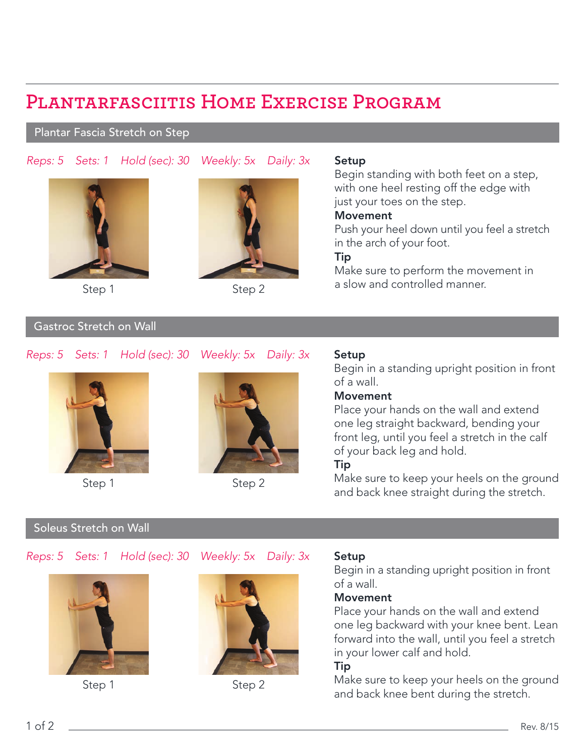# **Plantarfasciitis Home Exercise Program**

## Plantar Fascia Stretch on Step

*Reps: 5 Sets: 1 Hold (sec): 30 Weekly: 5x Daily: 3x*



Step 2

### Setup

Begin standing with both feet on a step, with one heel resting off the edge with just your toes on the step.

#### Movement

Push your heel down until you feel a stretch in the arch of your foot.

## Tip

Make sure to perform the movement in a slow and controlled manner.<br>Step 1 Step 2 as low and controlled manner.

# Gastroc Stretch on Wall

# *Reps: 5 Sets: 1 Hold (sec): 30 Weekly: 5x Daily: 3x*



Step 1



Step 2

# Setup

Begin in a standing upright position in front of a wall.

# Movement

Place your hands on the wall and extend one leg straight backward, bending your front leg, until you feel a stretch in the calf of your back leg and hold.

## Tip

Make sure to keep your heels on the ground and back knee straight during the stretch.

# Soleus Stretch on Wall

# *Reps: 5 Sets: 1 Hold (sec): 30 Weekly: 5x Daily: 3x*



Step 1



Step 2

## Setup

Begin in a standing upright position in front of a wall.

# Movement

Place your hands on the wall and extend one leg backward with your knee bent. Lean forward into the wall, until you feel a stretch in your lower calf and hold.

## Tip

Make sure to keep your heels on the ground and back knee bent during the stretch.